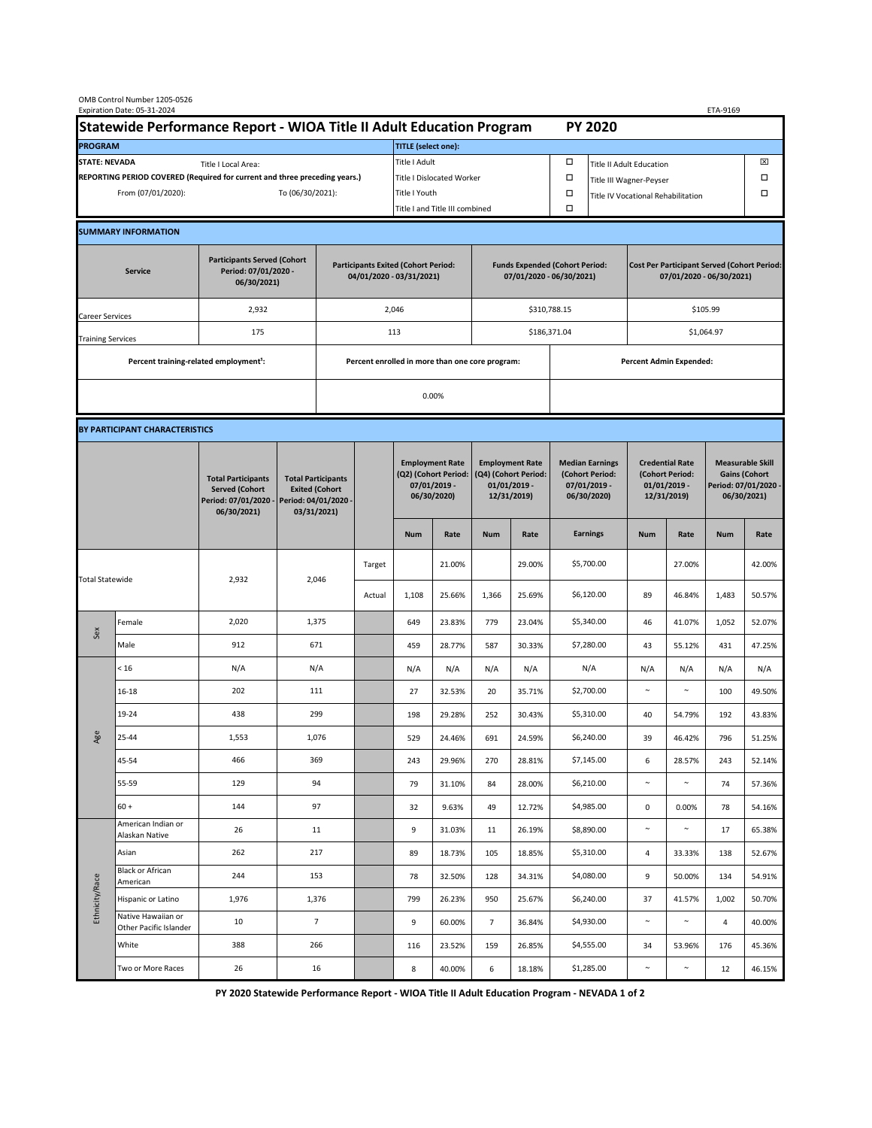| OMB Control Number 1205-0526<br>Expiration Date: 05-31-2024<br>ETA-9169                     |                                                    |                                                                                           |                                                                                           |                                                                        |                           |                                                                               |               |                                                                                 |                                |                                                                            |                                    |                                                                                |        |                                                                                        |        |  |  |
|---------------------------------------------------------------------------------------------|----------------------------------------------------|-------------------------------------------------------------------------------------------|-------------------------------------------------------------------------------------------|------------------------------------------------------------------------|---------------------------|-------------------------------------------------------------------------------|---------------|---------------------------------------------------------------------------------|--------------------------------|----------------------------------------------------------------------------|------------------------------------|--------------------------------------------------------------------------------|--------|----------------------------------------------------------------------------------------|--------|--|--|
| Statewide Performance Report - WIOA Title II Adult Education Program                        |                                                    |                                                                                           |                                                                                           |                                                                        |                           |                                                                               |               |                                                                                 |                                |                                                                            | <b>PY 2020</b>                     |                                                                                |        |                                                                                        |        |  |  |
| <b>PROGRAM</b>                                                                              |                                                    |                                                                                           |                                                                                           |                                                                        |                           | <b>TITLE</b> (select one):                                                    |               |                                                                                 |                                |                                                                            |                                    |                                                                                |        |                                                                                        |        |  |  |
| <b>STATE: NEVADA</b><br>Title I Local Area:                                                 |                                                    |                                                                                           |                                                                                           |                                                                        |                           | Title I Adult                                                                 |               |                                                                                 |                                | □<br><b>Title II Adult Education</b>                                       |                                    |                                                                                |        |                                                                                        | ⊠      |  |  |
| REPORTING PERIOD COVERED (Required for current and three preceding years.)                  |                                                    |                                                                                           |                                                                                           |                                                                        | Title I Dislocated Worker |                                                                               |               |                                                                                 |                                | Ω                                                                          | Title III Wagner-Peyser            | □                                                                              |        |                                                                                        |        |  |  |
| From (07/01/2020):                                                                          |                                                    |                                                                                           |                                                                                           | To (06/30/2021):                                                       |                           |                                                                               | Title I Youth |                                                                                 |                                | $\Box$                                                                     | Title IV Vocational Rehabilitation |                                                                                |        |                                                                                        | □      |  |  |
|                                                                                             |                                                    |                                                                                           |                                                                                           |                                                                        |                           | Title I and Title III combined                                                |               |                                                                                 | Ω                              |                                                                            |                                    |                                                                                |        |                                                                                        |        |  |  |
|                                                                                             | <b>SUMMARY INFORMATION</b>                         |                                                                                           |                                                                                           |                                                                        |                           |                                                                               |               |                                                                                 |                                |                                                                            |                                    |                                                                                |        |                                                                                        |        |  |  |
| <b>Participants Served (Cohort</b><br>Period: 07/01/2020 -<br><b>Service</b><br>06/30/2021) |                                                    |                                                                                           |                                                                                           | <b>Participants Exited (Cohort Period:</b><br>04/01/2020 - 03/31/2021) |                           |                                                                               |               | <b>Funds Expended (Cohort Period:</b><br>07/01/2020 - 06/30/2021)               |                                |                                                                            |                                    | <b>Cost Per Participant Served (Cohort Period:</b><br>07/01/2020 - 06/30/2021) |        |                                                                                        |        |  |  |
| Career Services                                                                             |                                                    | 2,932                                                                                     |                                                                                           |                                                                        |                           | 2,046                                                                         |               |                                                                                 |                                | \$310,788.15                                                               |                                    | \$105.99                                                                       |        |                                                                                        |        |  |  |
| <b>Training Services</b>                                                                    |                                                    | 175                                                                                       |                                                                                           | 113                                                                    |                           |                                                                               |               |                                                                                 |                                | \$186,371.04                                                               |                                    | \$1,064.97                                                                     |        |                                                                                        |        |  |  |
|                                                                                             | Percent training-related employment <sup>1</sup> : |                                                                                           | Percent enrolled in more than one core program:                                           |                                                                        |                           |                                                                               |               |                                                                                 | <b>Percent Admin Expended:</b> |                                                                            |                                    |                                                                                |        |                                                                                        |        |  |  |
|                                                                                             |                                                    |                                                                                           |                                                                                           |                                                                        |                           |                                                                               |               |                                                                                 |                                |                                                                            |                                    |                                                                                |        |                                                                                        |        |  |  |
|                                                                                             |                                                    |                                                                                           | 0.00%                                                                                     |                                                                        |                           |                                                                               |               |                                                                                 |                                |                                                                            |                                    |                                                                                |        |                                                                                        |        |  |  |
|                                                                                             | BY PARTICIPANT CHARACTERISTICS                     |                                                                                           |                                                                                           |                                                                        |                           |                                                                               |               |                                                                                 |                                |                                                                            |                                    |                                                                                |        |                                                                                        |        |  |  |
|                                                                                             |                                                    | <b>Total Participants</b><br><b>Served (Cohort</b><br>Period: 07/01/2020 -<br>06/30/2021) | <b>Total Participants</b><br><b>Exited (Cohort</b><br>Period: 04/01/2020 -<br>03/31/2021) |                                                                        |                           | <b>Employment Rate</b><br>(Q2) (Cohort Period:<br>07/01/2019 -<br>06/30/2020) |               | <b>Employment Rate</b><br>(Q4) (Cohort Period:<br>$01/01/2019$ -<br>12/31/2019) |                                | <b>Median Earnings</b><br>(Cohort Period:<br>$07/01/2019 -$<br>06/30/2020) |                                    | <b>Credential Rate</b><br>(Cohort Period:<br>$01/01/2019$ -<br>12/31/2019)     |        | <b>Measurable Skill</b><br><b>Gains (Cohort</b><br>Period: 07/01/2020 -<br>06/30/2021) |        |  |  |
|                                                                                             |                                                    |                                                                                           |                                                                                           |                                                                        |                           | <b>Num</b>                                                                    | Rate          | <b>Num</b>                                                                      | Rate                           |                                                                            | <b>Earnings</b>                    | <b>Num</b>                                                                     | Rate   | <b>Num</b>                                                                             | Rate   |  |  |
| <b>Total Statewide</b>                                                                      |                                                    | 2,932                                                                                     | 2,046                                                                                     |                                                                        | Target                    |                                                                               | 21.00%        |                                                                                 | 29.00%                         |                                                                            | \$5,700.00                         |                                                                                | 27.00% |                                                                                        | 42.00% |  |  |
|                                                                                             |                                                    |                                                                                           |                                                                                           |                                                                        | Actual                    | 1,108                                                                         | 25.66%        | 1,366                                                                           | 25.69%                         |                                                                            | \$6,120.00                         | 89                                                                             | 46.84% | 1,483                                                                                  | 50.57% |  |  |
| Sex                                                                                         | Female                                             | 2,020                                                                                     | 1,375                                                                                     |                                                                        |                           | 649                                                                           | 23.83%        | 779                                                                             | 23.04%                         |                                                                            | \$5,340.00                         | 46                                                                             | 41.07% | 1,052                                                                                  | 52.07% |  |  |
|                                                                                             | Male                                               | 912                                                                                       | 671                                                                                       |                                                                        |                           | 459                                                                           | 28.77%        | 587                                                                             | 30.33%                         |                                                                            | \$7,280.00                         | 43                                                                             | 55.12% | 431                                                                                    | 47.25% |  |  |
| Age                                                                                         | < 16                                               | N/A                                                                                       | N/A                                                                                       |                                                                        |                           | N/A                                                                           | N/A           | N/A                                                                             | N/A                            |                                                                            | N/A                                | N/A                                                                            | N/A    | N/A                                                                                    | N/A    |  |  |
|                                                                                             | $16 - 18$                                          | 202                                                                                       | 111                                                                                       |                                                                        |                           | 27                                                                            | 32.53%        | 20                                                                              | 35.71%                         |                                                                            | \$2,700.00                         | $\sim$                                                                         | $\sim$ | 100                                                                                    | 49.50% |  |  |
|                                                                                             | 19-24                                              | 438                                                                                       | 299                                                                                       |                                                                        |                           | 198                                                                           | 29.28%        | 252                                                                             | 30.43%                         |                                                                            | \$5,310.00                         | 40                                                                             | 54.79% | 192                                                                                    | 43.83% |  |  |
|                                                                                             | 25-44                                              | 1,553                                                                                     | 1,076                                                                                     |                                                                        |                           | 529                                                                           | 24.46%        | 691                                                                             | 24.59%                         |                                                                            | \$6,240.00                         | 39                                                                             | 46.42% | 796                                                                                    | 51.25% |  |  |
|                                                                                             | 45-54                                              | 466                                                                                       | 369                                                                                       |                                                                        |                           | 243                                                                           | 29.96%        | 270                                                                             | 28.81%                         |                                                                            | \$7,145.00                         | $\boldsymbol{6}$                                                               | 28.57% | 243                                                                                    | 52.14% |  |  |
|                                                                                             | 55-59                                              | 129                                                                                       | 94                                                                                        |                                                                        |                           | 79                                                                            | 31.10%        | 84                                                                              | 28.00%                         |                                                                            | \$6,210.00                         | $\sim$                                                                         | $\sim$ | 74                                                                                     | 57.36% |  |  |
|                                                                                             | $60 +$                                             | 144                                                                                       | 97                                                                                        |                                                                        |                           | 32                                                                            | 9.63%         | 49                                                                              | 12.72%                         |                                                                            | \$4,985.00                         | $\mathbf 0$                                                                    | 0.00%  | 78                                                                                     | 54.16% |  |  |
| Ethnicity/Race                                                                              | American Indian or<br>Alaskan Native               | 26                                                                                        | 11                                                                                        |                                                                        |                           | 9                                                                             | 31.03%        | 11                                                                              | 26.19%                         |                                                                            | \$8,890.00                         | $\sim$                                                                         | $\sim$ | 17                                                                                     | 65.38% |  |  |
|                                                                                             | Asian                                              | 262                                                                                       | 217                                                                                       |                                                                        |                           | 89                                                                            | 18.73%        | 105                                                                             | 18.85%                         |                                                                            | \$5,310.00                         | 4                                                                              | 33.33% | 138                                                                                    | 52.67% |  |  |
|                                                                                             | Black or African<br>American                       | 244                                                                                       | 153                                                                                       |                                                                        |                           | 78                                                                            | 32.50%        | 128                                                                             | 34.31%                         |                                                                            | \$4,080.00                         | 9                                                                              | 50.00% | 134                                                                                    | 54.91% |  |  |
|                                                                                             | Hispanic or Latino                                 | 1,976                                                                                     | 1,376                                                                                     |                                                                        |                           | 799                                                                           | 26.23%        | 950                                                                             | 25.67%                         |                                                                            | \$6,240.00                         | 37                                                                             | 41.57% | 1,002                                                                                  | 50.70% |  |  |
|                                                                                             | Native Hawaiian or<br>Other Pacific Islander       | 10                                                                                        |                                                                                           | $\overline{7}$                                                         |                           | 9                                                                             | 60.00%        | $\overline{7}$                                                                  | 36.84%                         |                                                                            | \$4,930.00                         | $\sim$                                                                         | $\sim$ | 4                                                                                      | 40.00% |  |  |
|                                                                                             | White                                              | 388                                                                                       | 266                                                                                       |                                                                        |                           | 116                                                                           | 23.52%        | 159                                                                             | 26.85%                         |                                                                            | \$4,555.00                         | 34                                                                             | 53.96% | 176                                                                                    | 45.36% |  |  |
|                                                                                             | Two or More Races                                  | 26                                                                                        | 16                                                                                        |                                                                        |                           | 8                                                                             | 40.00%        | 6                                                                               | 18.18%                         |                                                                            | \$1,285.00                         | $\sim$                                                                         | $\sim$ | 12                                                                                     | 46.15% |  |  |

**PY 2020 Statewide Performance Report - WIOA Title II Adult Education Program - NEVADA 1 of 2**